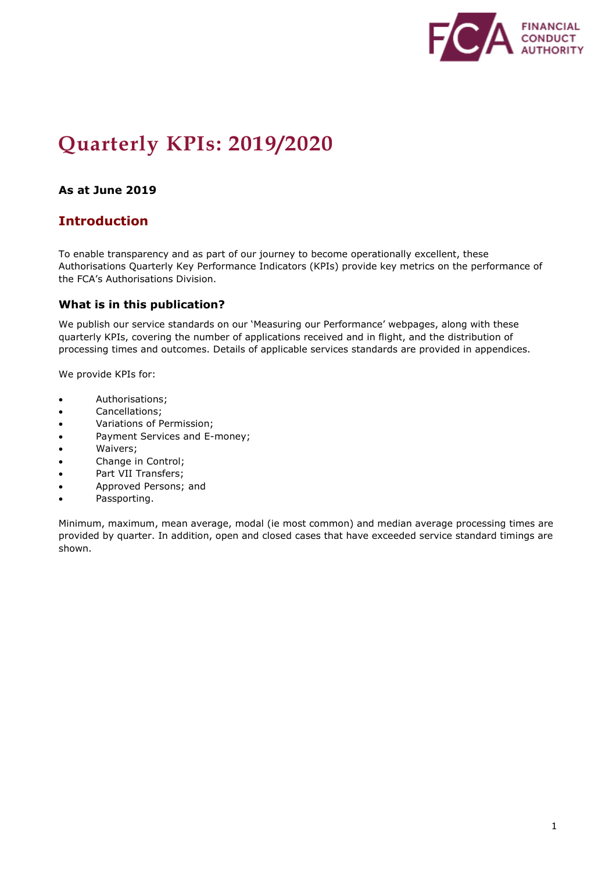

# **Quarterly KPIs: 2019/2020**

### **As at June 2019**

### **Introduction**

To enable transparency and as part of our journey to become operationally excellent, these Authorisations Quarterly Key Performance Indicators (KPIs) provide key metrics on the performance of the FCA's Authorisations Division.

#### **What is in this publication?**

We publish our service standards on our 'Measuring our Performance' webpages, along with these quarterly KPIs, covering the number of applications received and in flight, and the distribution of processing times and outcomes. Details of applicable services standards are provided in appendices.

We provide KPIs for:

- Authorisations;
- Cancellations;
- Variations of Permission;
- Payment Services and E-money;
- Waivers;
- Change in Control;
- Part VII Transfers;
- Approved Persons; and
- Passporting.

Minimum, maximum, mean average, modal (ie most common) and median average processing times are provided by quarter. In addition, open and closed cases that have exceeded service standard timings are shown.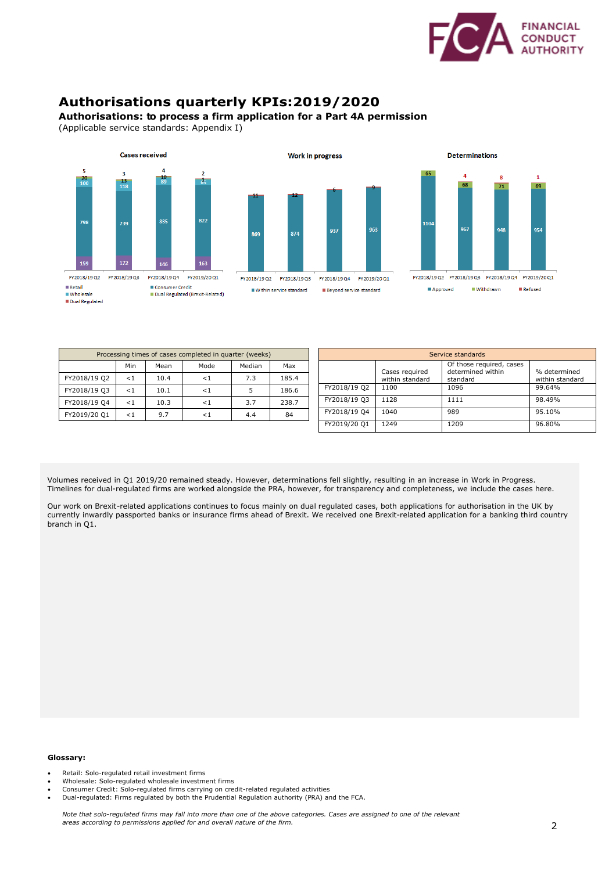

### **Authorisations quarterly KPIs:2019/2020**

#### **Authorisations: to process a firm application for a Part 4A permission**

(Applicable service standards: Appendix I)





| Processing times of cases completed in quarter (weeks) |          |      |        |        |       |  |  |  |  |  |
|--------------------------------------------------------|----------|------|--------|--------|-------|--|--|--|--|--|
|                                                        | Min      | Mean | Mode   | Median | Max   |  |  |  |  |  |
| FY2018/19 Q2                                           | $\leq 1$ | 10.4 | ${<}1$ | 7.3    | 185.4 |  |  |  |  |  |
| FY2018/19 Q3                                           | $\leq 1$ | 10.1 | ${<}1$ | 5      | 186.6 |  |  |  |  |  |
| FY2018/19 Q4                                           | $\leq 1$ | 10.3 |        | 3.7    | 238.7 |  |  |  |  |  |
| FY2019/20 Q1                                           | $\leq 1$ | 9.7  | - 1    | 4.4    | 84    |  |  |  |  |  |

| Service standards |                                   |                                                           |                                 |  |  |  |  |  |  |
|-------------------|-----------------------------------|-----------------------------------------------------------|---------------------------------|--|--|--|--|--|--|
|                   | Cases required<br>within standard | Of those required, cases<br>determined within<br>standard | % determined<br>within standard |  |  |  |  |  |  |
| FY2018/19 Q2      | 1100                              | 1096                                                      | 99.64%                          |  |  |  |  |  |  |
| FY2018/19 Q3      | 1128                              | 1111                                                      | 98.49%                          |  |  |  |  |  |  |
| FY2018/19 O4      | 1040                              | 989                                                       | 95.10%                          |  |  |  |  |  |  |
| FY2019/20 Q1      | 1249                              | 1209                                                      | 96.80%                          |  |  |  |  |  |  |

Volumes received in Q1 2019/20 remained steady. However, determinations fell slightly, resulting in an increase in Work in Progress. Timelines for dual-regulated firms are worked alongside the PRA, however, for transparency and completeness, we include the cases here.

Our work on Brexit-related applications continues to focus mainly on dual regulated cases, both applications for authorisation in the UK by currently inwardly passported banks or insurance firms ahead of Brexit. We received one Brexit-related application for a banking third country branch in Q1.

- Retail: Solo-regulated retail investment firms
- Wholesale: Solo-regulated wholesale investment firms
- Consumer Credit: Solo-regulated firms carrying on credit-related regulated activities
- Dual-regulated: Firms regulated by both the Prudential Regulation authority (PRA) and the FCA.

*Note that solo-regulated firms may fall into more than one of the above categories. Cases are assigned to one of the relevant areas according to permissions applied for and overall nature of the firm.*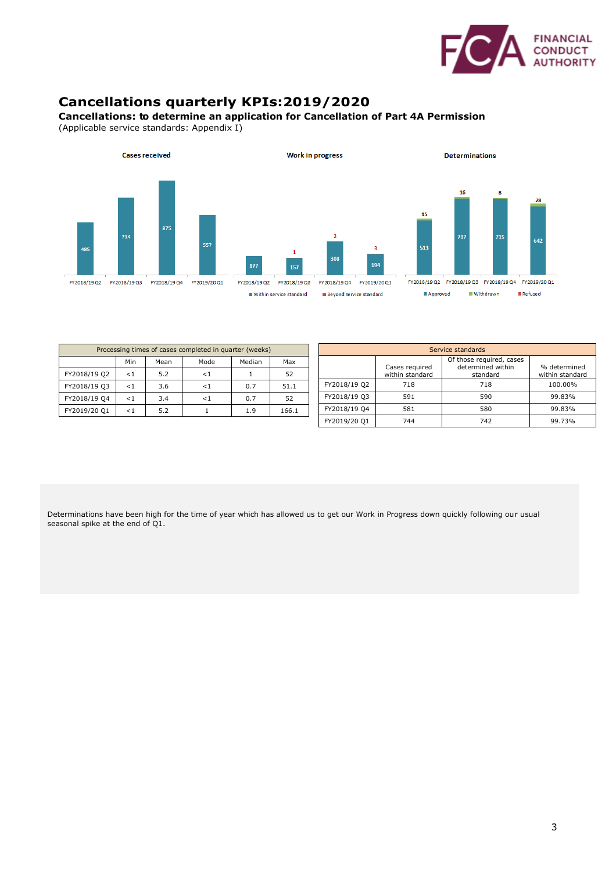

# **Cancellations quarterly KPIs:2019/2020**

#### **Cancellations: to determine an application for Cancellation of Part 4A Permission**

(Applicable service standards: Appendix I)



| Processing times of cases completed in quarter (weeks) |          |      |          |        |       |                                               | Service standards |                                   |          |                 |  |
|--------------------------------------------------------|----------|------|----------|--------|-------|-----------------------------------------------|-------------------|-----------------------------------|----------|-----------------|--|
|                                                        | Min      | Mean | Mode     | Median | Max   | Of those required, cases<br>determined within |                   | % determined                      |          |                 |  |
| FY2018/19 Q2                                           | $\leq 1$ | 5.2  | $\leq$ 1 |        | 52    |                                               |                   | Cases required<br>within standard | standard | within standard |  |
| FY2018/19 O3                                           | $\leq 1$ | 3.6  | $\leq$ 1 | 0.7    | 51.1  |                                               | FY2018/19 Q2      | 718                               | 718      | 100.00%         |  |
| FY2018/19 Q4                                           | $\leq 1$ | 3.4  | $\leq 1$ | 0.7    | 52    |                                               | FY2018/19 Q3      | 591                               | 590      | 99.83%          |  |
| FY2019/20 Q1                                           | $\leq 1$ | 5.2  |          | 1.9    | 166.1 |                                               | FY2018/19 Q4      | 581                               | 580      | 99.83%          |  |
|                                                        |          |      |          |        |       |                                               | FY2019/20 Q1      | 744                               | 742      | 99.73%          |  |

Determinations have been high for the time of year which has allowed us to get our Work in Progress down quickly following our usual seasonal spike at the end of Q1.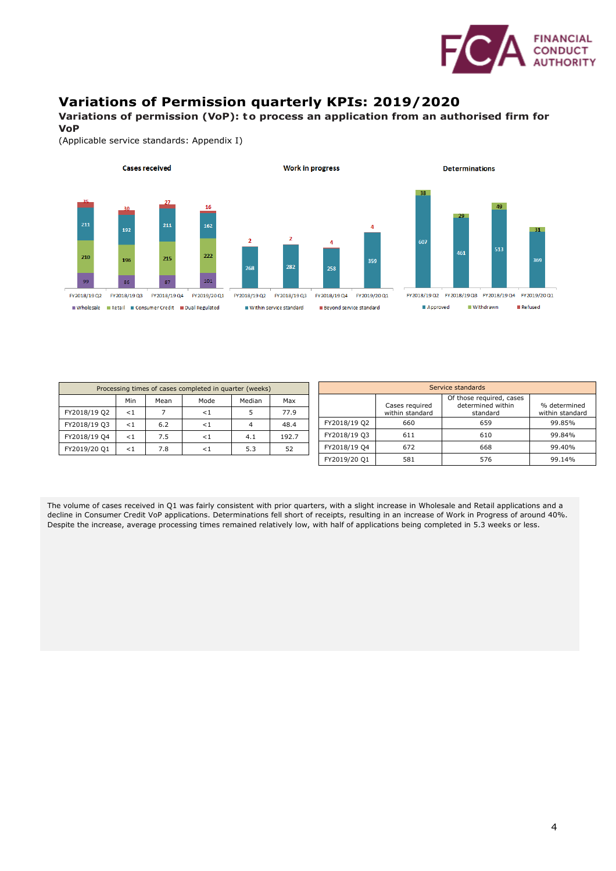

## **Variations of Permission quarterly KPIs: 2019/2020**

**Variations of permission (VoP): to process an application from an authorised firm for VoP**

(Applicable service standards: Appendix I)



| Processing times of cases completed in quarter (weeks) |          |      |      |        |       |              |
|--------------------------------------------------------|----------|------|------|--------|-------|--------------|
|                                                        | Min      | Mean | Mode | Median | Max   |              |
| FY2018/19 Q2                                           | $\leq 1$ |      |      |        | 77.9  |              |
| FY2018/19 Q3                                           | $\leq 1$ | 6.2  |      |        | 48.4  | FY2018/19 Q2 |
| FY2018/19 Q4                                           | $\lt1$   | 7.5  |      | 4.1    | 192.7 | FY2018/19 Q3 |
| FY2019/20 Q1                                           | $\leq 1$ | 7.8  |      | 5.3    | 52    | FY2018/19 Q4 |
|                                                        |          |      |      |        |       |              |

| Service standards |                                   |                                                           |                                 |  |  |  |  |  |  |  |
|-------------------|-----------------------------------|-----------------------------------------------------------|---------------------------------|--|--|--|--|--|--|--|
|                   | Cases required<br>within standard | Of those required, cases<br>determined within<br>standard | % determined<br>within standard |  |  |  |  |  |  |  |
| FY2018/19 Q2      | 660                               | 659                                                       | 99.85%                          |  |  |  |  |  |  |  |
| FY2018/19 Q3      | 611                               | 610                                                       | 99.84%                          |  |  |  |  |  |  |  |
| FY2018/19 Q4      | 672                               | 668                                                       | 99.40%                          |  |  |  |  |  |  |  |
| FY2019/20 Q1      | 581                               | 576                                                       | 99.14%                          |  |  |  |  |  |  |  |

The volume of cases received in Q1 was fairly consistent with prior quarters, with a slight increase in Wholesale and Retail applications and a decline in Consumer Credit VoP applications. Determinations fell short of receipts, resulting in an increase of Work in Progress of around 40%. Despite the increase, average processing times remained relatively low, with half of applications being completed in 5.3 weeks or less.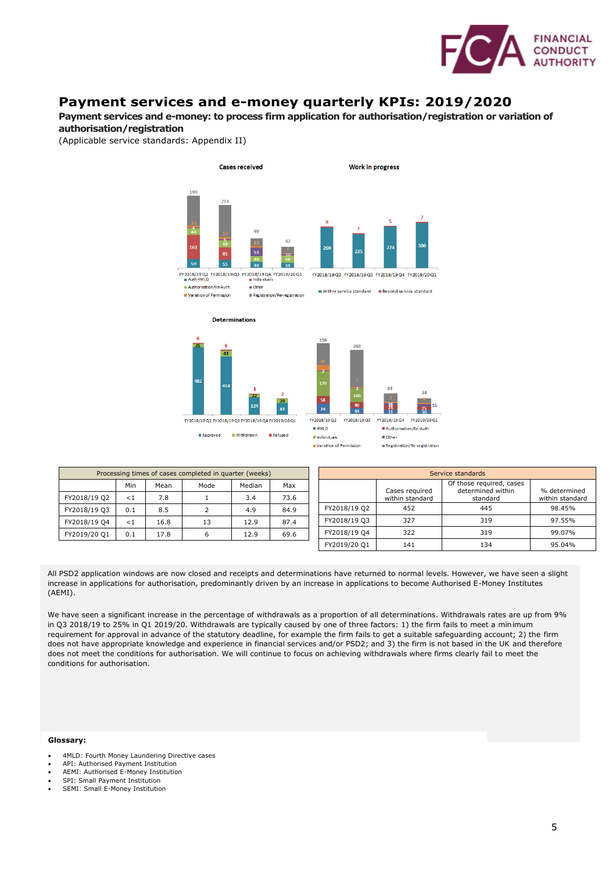

### **Payment services and e-money quarterly KPIs: 2019/2020**

**Payment services and e-money: to process firm application for authorisation/registration or variation of authorisation/registration**

(Applicable service standards: Appendix II)











Within service standard E Beyond service standard

| Processing times of cases completed in quarter (weeks) |     |      |      |        |      |  |  |  |  |  |
|--------------------------------------------------------|-----|------|------|--------|------|--|--|--|--|--|
|                                                        | Min | Mean | Mode | Median | Max  |  |  |  |  |  |
| FY2018/19 Q2                                           | < 1 | 7.8  |      | 3.4    | 73.6 |  |  |  |  |  |
| FY2018/19 Q3                                           | 0.1 | 8.5  |      | 4.9    | 84.9 |  |  |  |  |  |
| FY2018/19 Q4                                           | < 1 | 16.8 | 13   | 12.9   | 87.4 |  |  |  |  |  |
| FY2019/20 Q1                                           | 0.1 | 17.8 |      | 12.9   | 69.6 |  |  |  |  |  |

| Service standards |                                   |                                                           |                                 |  |  |  |  |  |  |  |
|-------------------|-----------------------------------|-----------------------------------------------------------|---------------------------------|--|--|--|--|--|--|--|
|                   | Cases required<br>within standard | Of those required, cases<br>determined within<br>standard | % determined<br>within standard |  |  |  |  |  |  |  |
| FY2018/19 Q2      | 452                               | 445                                                       | 98.45%                          |  |  |  |  |  |  |  |
| FY2018/19 Q3      | 327                               | 319                                                       | 97.55%                          |  |  |  |  |  |  |  |
| FY2018/19 Q4      | 322                               | 319                                                       | 99.07%                          |  |  |  |  |  |  |  |
| FY2019/20 Q1      | 141                               | 134                                                       | 95.04%                          |  |  |  |  |  |  |  |

All PSD2 application windows are now closed and receipts and determinations have returned to normal levels. However, we have seen a slight increase in applications for authorisation, predominantly driven by an increase in applications to become Authorised E-Money Institutes (AEMI).

We have seen a significant increase in the percentage of withdrawals as a proportion of all determinations. Withdrawals rates are up from 9% in Q3 2018/19 to 25% in Q1 2019/20. Withdrawals are typically caused by one of three factors: 1) the firm fails to meet a minimum requirement for approval in advance of the statutory deadline, for example the firm fails to get a suitable safeguarding account; 2) the firm does not have appropriate knowledge and experience in financial services and/or PSD2; and 3) the firm is not based in the UK and therefore does not meet the conditions for authorisation. We will continue to focus on achieving withdrawals where firms clearly fail to meet the conditions for authorisation.

- 4MLD: Fourth Money Laundering Directive cases
- API: Authorised Payment Institution
- AEMI: Authorised E-Money Institution • SPI: Small Payment Institution
- SEMI: Small E-Money Institution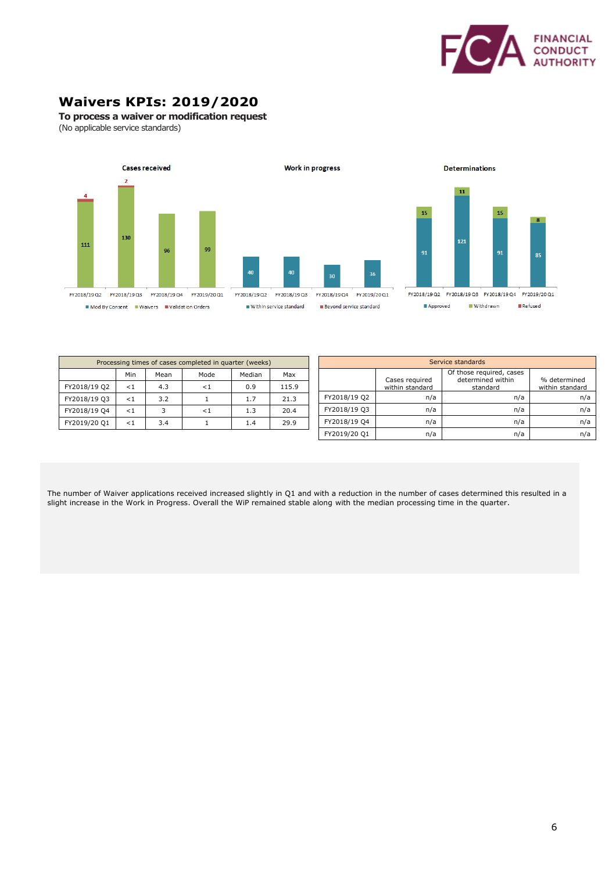

# **Waivers KPIs: 2019/2020**

**To process a waiver or modification request**

(No applicable service standards)





**Determinations** 

FY2018/19 Q2 FY2018/19 Q3 FY2018/19 Q4 FY2019/20 Q1 Withdrawn **Refused** Approved

| Processing times of cases completed in quarter (weeks) |        |      |          |        |       |  |  |  |  |  |
|--------------------------------------------------------|--------|------|----------|--------|-------|--|--|--|--|--|
|                                                        | Min    | Mean | Mode     | Median | Max   |  |  |  |  |  |
| FY2018/19 Q2                                           | $\lt1$ | 4.3  | $\leq 1$ | 0.9    | 115.9 |  |  |  |  |  |
| FY2018/19 Q3                                           | $\lt1$ | 3.2  |          | 1.7    | 21.3  |  |  |  |  |  |
| FY2018/19 Q4                                           | < 1    | 3    | ${<}1$   | 1.3    | 20.4  |  |  |  |  |  |
| FY2019/20 Q1                                           | < 1    | 3.4  |          | 1.4    | 29.9  |  |  |  |  |  |

| Service standards |                                   |                                                           |                                 |  |  |  |  |  |  |
|-------------------|-----------------------------------|-----------------------------------------------------------|---------------------------------|--|--|--|--|--|--|
|                   | Cases required<br>within standard | Of those required, cases<br>determined within<br>standard | % determined<br>within standard |  |  |  |  |  |  |
| FY2018/19 Q2      | n/a                               | n/a                                                       | n/a                             |  |  |  |  |  |  |
| FY2018/19 Q3      | n/a                               | n/a                                                       | n/a                             |  |  |  |  |  |  |
| FY2018/19 Q4      | n/a                               | n/a                                                       | n/a                             |  |  |  |  |  |  |
| FY2019/20 Q1      | n/a                               | n/a                                                       | n/a                             |  |  |  |  |  |  |

The number of Waiver applications received increased slightly in Q1 and with a reduction in the number of cases determined this resulted in a slight increase in the Work in Progress. Overall the WiP remained stable along with the median processing time in the quarter.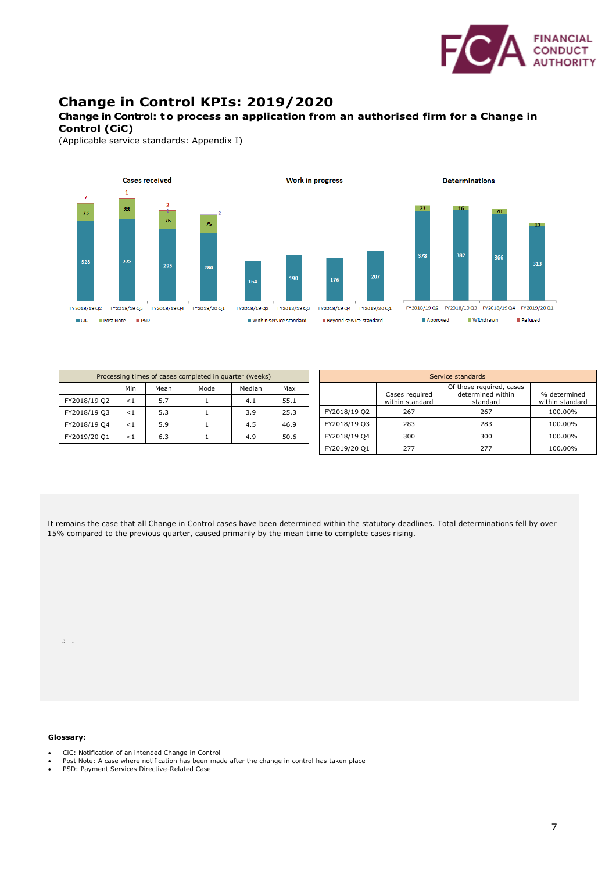

### **Change in Control KPIs: 2019/2020**

#### **Change in Control: to process an application from an authorised firm for a Change in Control (CiC)**

(Applicable service standards: Appendix I)



|              |          |      | Processing times of cases completed in quarter (weeks) |        |      | Service standards |                 |                                               |              |
|--------------|----------|------|--------------------------------------------------------|--------|------|-------------------|-----------------|-----------------------------------------------|--------------|
|              | Min      | Mean | Mode                                                   | Median | Max  |                   | Cases required  | Of those required, cases<br>determined within | % determin   |
| FY2018/19 Q2 | $\leq 1$ | 5.7  |                                                        | 4.1    | 55.1 |                   | within standard | standard                                      | within stand |
| FY2018/19 Q3 | $\leq 1$ | 5.3  |                                                        | 3.9    | 25.3 | FY2018/19 Q2      | 267             | 267                                           | 100.00%      |
| FY2018/19 Q4 | $\leq 1$ | 5.9  |                                                        | 4.5    | 46.9 | FY2018/19 Q3      | 283             | 283                                           | 100.00%      |
| FY2019/20 Q1 | $\leq 1$ | 6.3  |                                                        | 4.9    | 50.6 | FY2018/19 Q4      | 300             | 300                                           | 100.00%      |
|              |          |      |                                                        |        |      | FY2019/20 Q1      | 277             | 277                                           | 100.00%      |

|                                                                                                   |  |  | It remains the case that all Change in Control cases have been determined within the statutory deadlines. Total determinations fell by over |
|---------------------------------------------------------------------------------------------------|--|--|---------------------------------------------------------------------------------------------------------------------------------------------|
| 15% compared to the previous quarter, caused primarily by the mean time to complete cases rising. |  |  |                                                                                                                                             |

#### **Glossary:**

 $\hat{\mathbf{z}} = \hat{\mathbf{z}}$ 

- CiC: Notification of an intended Change in Control
- Post Note: A case where notification has been made after the change in control has taken place
- PSD: Payment Services Directive-Related Case

% determined within standard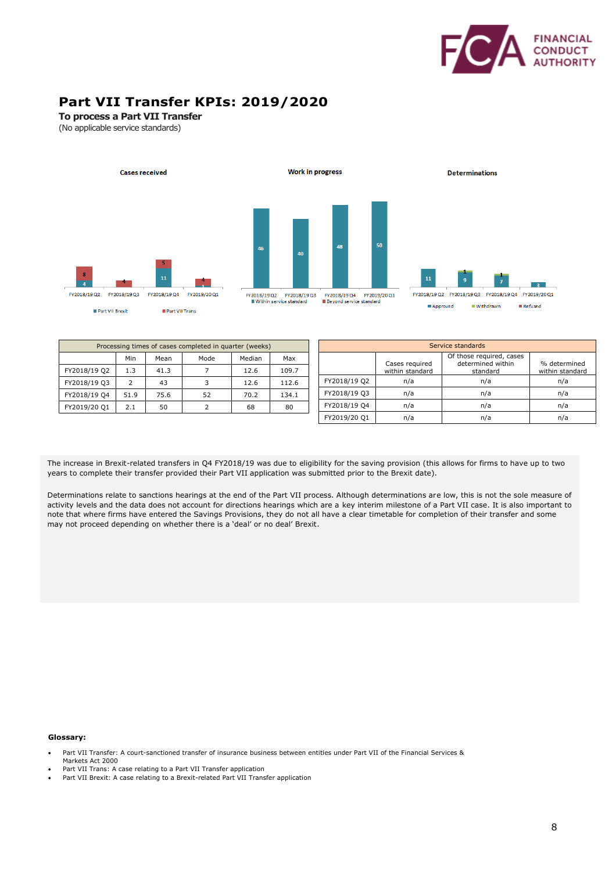

# **Part VII Transfer KPIs: 2019/2020**

**To process a Part VII Transfer**

(No applicable service standards)



| Processing times of cases completed in quarter (weeks) |      |      |      |        |       | Service standards |                 |                                               |                 |  |
|--------------------------------------------------------|------|------|------|--------|-------|-------------------|-----------------|-----------------------------------------------|-----------------|--|
|                                                        | Min  | Mean | Mode | Median | Max   |                   | Cases required  | Of those required, cases<br>determined within | % determined    |  |
| FY2018/19 Q2                                           | 1.3  | 41.3 |      | 12.6   | 109.7 |                   | within standard | standard                                      | within standard |  |
| FY2018/19 Q3                                           |      | 43   |      | 12.6   | 112.6 | FY2018/19 Q2      | n/a             | n/a                                           | n/a             |  |
| FY2018/19 Q4                                           | 51.9 | 75.6 | 52   | 70.2   | 134.1 | FY2018/19 Q3      | n/a             | n/a                                           | n/a             |  |
| FY2019/20 Q1                                           | 2.1  | 50   |      | 68     | 80    | FY2018/19 Q4      | n/a             | n/a                                           | n/a             |  |
|                                                        |      |      |      |        |       | FY2019/20 Q1      | n/a             | n/a                                           | n/a             |  |

The increase in Brexit-related transfers in Q4 FY2018/19 was due to eligibility for the saving provision (this allows for firms to have up to two years to complete their transfer provided their Part VII application was submitted prior to the Brexit date).

Determinations relate to sanctions hearings at the end of the Part VII process. Although determinations are low, this is not the sole measure of activity levels and the data does not account for directions hearings which are a key interim milestone of a Part VII case. It is also important to note that where firms have entered the Savings Provisions, they do not all have a clear timetable for completion of their transfer and some may not proceed depending on whether there is a 'deal' or no deal' Brexit.

- Part VII Trans: A case relating to a Part VII Transfer application
- Part VII Brexit: A case relating to a Brexit-related Part VII Transfer application

<sup>•</sup> Part VII Transfer: A court-sanctioned transfer of insurance business between entities under Part VII of the Financial Services & Markets Act 2000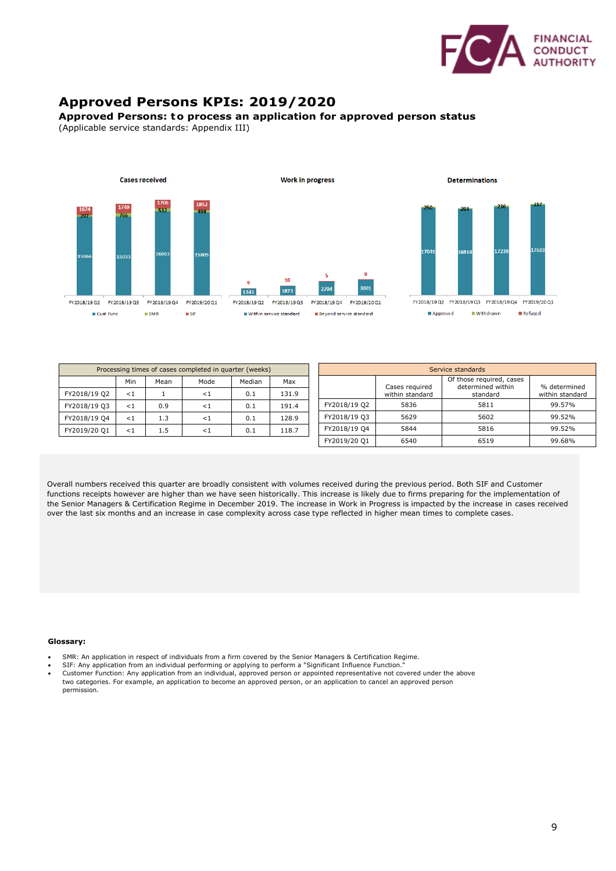

# **Approved Persons KPIs: 2019/2020**

#### **Approved Persons: to process an application for approved person status**

(Applicable service standards: Appendix III)



| Processing times of cases completed in quarter (weeks) |          |      |          | Service standards |       |              |                 |                                               |                 |
|--------------------------------------------------------|----------|------|----------|-------------------|-------|--------------|-----------------|-----------------------------------------------|-----------------|
|                                                        | Min      | Mean | Mode     | Median            | Max   |              | Cases required  | Of those required, cases<br>determined within | % determined    |
| FY2018/19 Q2                                           | <1       |      | $\leq 1$ | 0.1               | 131.9 |              | within standard | standard                                      | within standard |
| FY2018/19 Q3                                           | $\leq 1$ | 0.9  | ${<}1$   | 0.1               | 191.4 | FY2018/19 Q2 | 5836            | 5811                                          | 99.57%          |
| FY2018/19 Q4                                           | $\leq 1$ | 1.3  | $\lt1$   | 0.1               | 128.9 | FY2018/19 Q3 | 5629            | 5602                                          | 99.52%          |
| FY2019/20 Q1                                           | $\leq 1$ | 1.5  | $\lt 1$  | 0.1               | 118.7 | FY2018/19 Q4 | 5844            | 5816                                          | 99.52%          |
|                                                        |          |      |          |                   |       | FY2019/20 Q1 | 6540            | 6519                                          | 99.68%          |

Overall numbers received this quarter are broadly consistent with volumes received during the previous period. Both SIF and Customer functions receipts however are higher than we have seen historically. This increase is likely due to firms preparing for the implementation of the Senior Managers & Certification Regime in December 2019. The increase in Work in Progress is impacted by the increase in cases received over the last six months and an increase in case complexity across case type reflected in higher mean times to complete cases.

- SMR: An application in respect of individuals from a firm covered by the Senior Managers & Certification Regime.
- SIF: Any application from an individual performing or applying to perform a "Significant Influence Function.
- Customer Function: Any application from an individual, approved person or appointed representative not covered under the above two categories. For example, an application to become an approved person, or an application to cancel an approved person permission.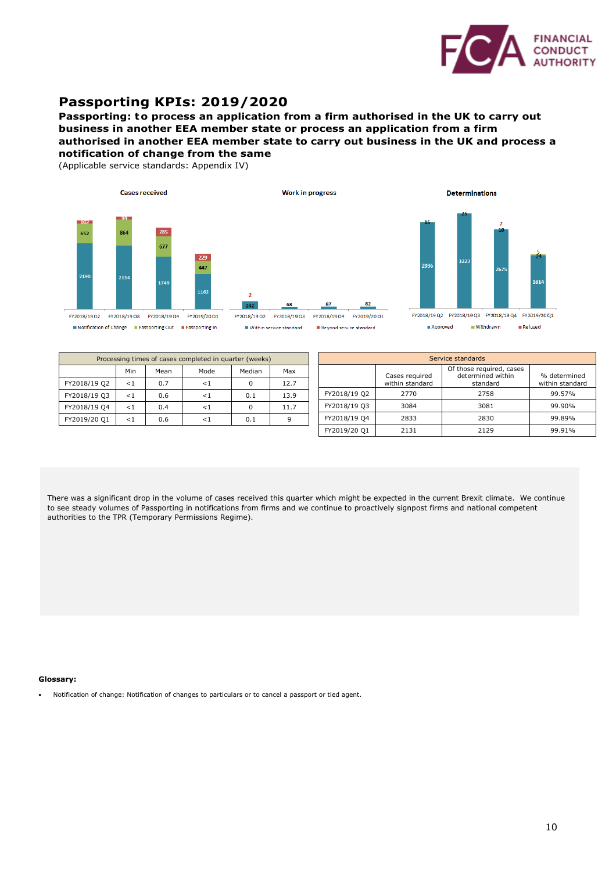

### **Passporting KPIs: 2019/2020**

**Passporting: to process an application from a firm authorised in the UK to carry out business in another EEA member state or process an application from a firm authorised in another EEA member state to carry out business in the UK and process a notification of change from the same**

(Applicable service standards: Appendix IV)





FY2018/19 Q2 FY2018/19 Q3 FY2018/19 Q4 FY2019/20 Q1

82

Beyond service standard

٠,

 $\frac{1}{242}$ 

 $\blacksquare$  Within service standard

**Determinations** 



| Approved | Withdrawn | <b>III</b> Refused |
|----------|-----------|--------------------|

| Processing times of cases completed in quarter (weeks) |          |      |        |        |      |  |  |
|--------------------------------------------------------|----------|------|--------|--------|------|--|--|
|                                                        | Min      | Mean | Mode   | Median | Max  |  |  |
| FY2018/19 Q2                                           | <1       | 0.7  | ${<}1$ | O      | 12.7 |  |  |
| FY2018/19 Q3                                           | $\leq 1$ | 0.6  | ${<}1$ | 0.1    | 13.9 |  |  |
| FY2018/19 Q4                                           | $\leq 1$ | 0.4  | - 1    |        | 11.7 |  |  |
| FY2019/20 Q1                                           | ${<}1$   | 0.6  |        | 0.1    |      |  |  |

| Service standards |                                   |                                                           |                                 |  |  |  |
|-------------------|-----------------------------------|-----------------------------------------------------------|---------------------------------|--|--|--|
|                   | Cases required<br>within standard | Of those required, cases<br>determined within<br>standard | % determined<br>within standard |  |  |  |
| FY2018/19 Q2      | 2770                              | 2758                                                      | 99.57%                          |  |  |  |
| FY2018/19 Q3      | 3084                              | 3081                                                      | 99.90%                          |  |  |  |
| FY2018/19 Q4      | 2833                              | 2830                                                      | 99.89%                          |  |  |  |
| FY2019/20 Q1      | 2131                              | 2129                                                      | 99.91%                          |  |  |  |

There was a significant drop in the volume of cases received this quarter which might be expected in the current Brexit climate. We continue to see steady volumes of Passporting in notifications from firms and we continue to proactively signpost firms and national competent authorities to the TPR (Temporary Permissions Regime).

#### **Glossary:**

• Notification of change: Notification of changes to particulars or to cancel a passport or tied agent.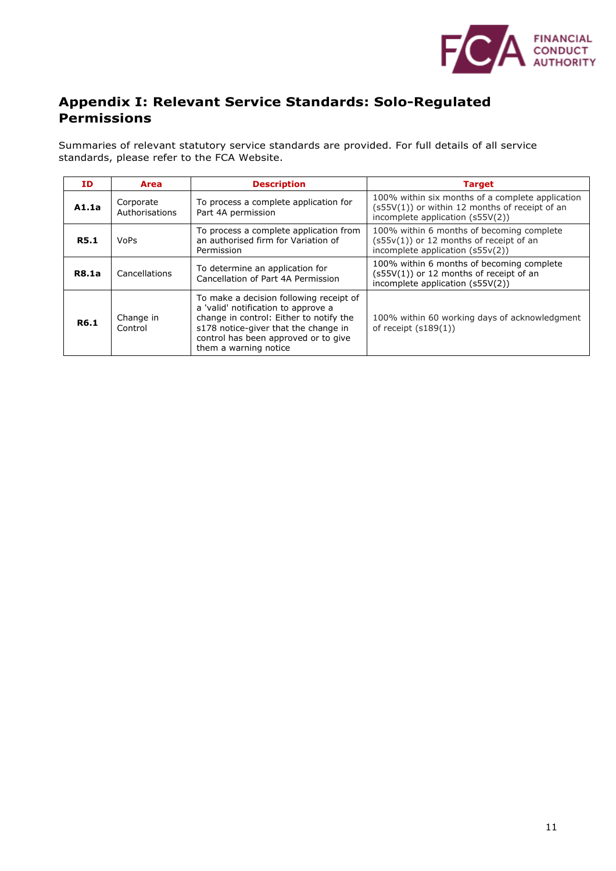

# **Appendix I: Relevant Service Standards: Solo-Regulated Permissions**

Summaries of relevant statutory service standards are provided. For full details of all service standards, please refer to the FCA Website.

| ΙD           | <b>Area</b>                 | <b>Description</b>                                                                                                                                                                                                                 | <b>Target</b>                                                                                                                          |  |
|--------------|-----------------------------|------------------------------------------------------------------------------------------------------------------------------------------------------------------------------------------------------------------------------------|----------------------------------------------------------------------------------------------------------------------------------------|--|
| A1.1a        | Corporate<br>Authorisations | To process a complete application for<br>Part 4A permission                                                                                                                                                                        | 100% within six months of a complete application<br>(s55V(1)) or within 12 months of receipt of an<br>incomplete application (s55V(2)) |  |
| <b>R5.1</b>  | <b>VoPs</b>                 | To process a complete application from<br>an authorised firm for Variation of<br>Permission                                                                                                                                        | 100% within 6 months of becoming complete<br>$(s55v(1))$ or 12 months of receipt of an<br>incomplete application (s55v(2))             |  |
| <b>R8.1a</b> | Cancellations               | To determine an application for<br>Cancellation of Part 4A Permission                                                                                                                                                              | 100% within 6 months of becoming complete<br>$(s55V(1))$ or 12 months of receipt of an<br>incomplete application (s55V(2))             |  |
| R6.1         | Change in<br>Control        | To make a decision following receipt of<br>a 'valid' notification to approve a<br>change in control: Either to notify the<br>s178 notice-giver that the change in<br>control has been approved or to give<br>them a warning notice | 100% within 60 working days of acknowledgment<br>of receipt $(s189(1))$                                                                |  |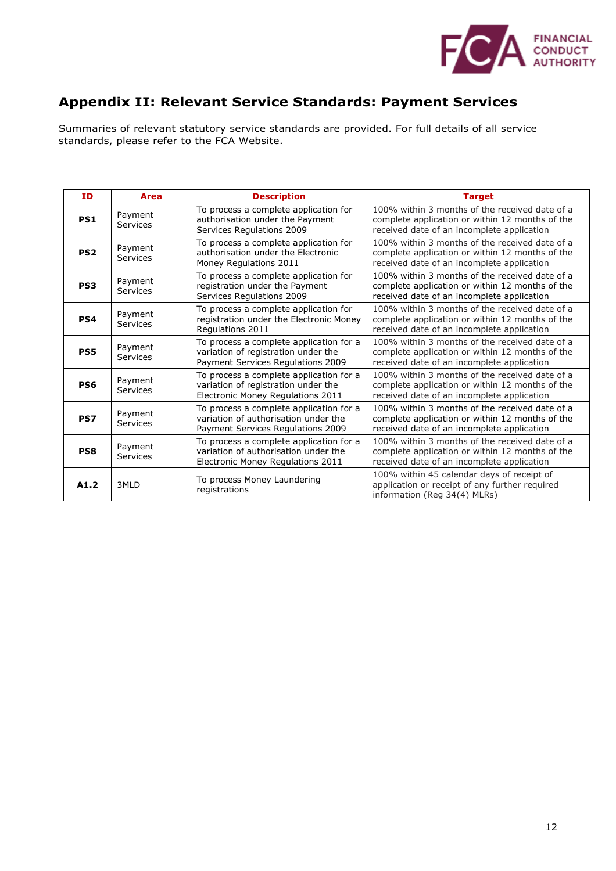

# **Appendix II: Relevant Service Standards: Payment Services**

Summaries of relevant statutory service standards are provided. For full details of all service standards, please refer to the FCA Website.

| ID              | Area                                                                                                                                        | <b>Description</b>                                                                                                   | <b>Target</b>                                                                                                                                   |
|-----------------|---------------------------------------------------------------------------------------------------------------------------------------------|----------------------------------------------------------------------------------------------------------------------|-------------------------------------------------------------------------------------------------------------------------------------------------|
| PS1             | Payment<br>Services                                                                                                                         | To process a complete application for<br>authorisation under the Payment<br>Services Regulations 2009                | 100% within 3 months of the received date of a<br>complete application or within 12 months of the<br>received date of an incomplete application |
| PS <sub>2</sub> | Payment<br>Services                                                                                                                         | To process a complete application for<br>authorisation under the Electronic<br>Money Regulations 2011                | 100% within 3 months of the received date of a<br>complete application or within 12 months of the<br>received date of an incomplete application |
| PS3             | Payment<br>Services                                                                                                                         | To process a complete application for<br>registration under the Payment<br>Services Regulations 2009                 | 100% within 3 months of the received date of a<br>complete application or within 12 months of the<br>received date of an incomplete application |
| PS4             | Payment<br>Services                                                                                                                         | To process a complete application for<br>registration under the Electronic Money<br>Regulations 2011                 | 100% within 3 months of the received date of a<br>complete application or within 12 months of the<br>received date of an incomplete application |
| PS5             | Payment<br>Services                                                                                                                         | To process a complete application for a<br>variation of registration under the<br>Payment Services Regulations 2009  | 100% within 3 months of the received date of a<br>complete application or within 12 months of the<br>received date of an incomplete application |
| PS6             | Payment<br>Services                                                                                                                         | To process a complete application for a<br>variation of registration under the<br>Electronic Money Regulations 2011  | 100% within 3 months of the received date of a<br>complete application or within 12 months of the<br>received date of an incomplete application |
| PS7             | Payment<br>Services                                                                                                                         | To process a complete application for a<br>variation of authorisation under the<br>Payment Services Regulations 2009 | 100% within 3 months of the received date of a<br>complete application or within 12 months of the<br>received date of an incomplete application |
| PS8             | To process a complete application for a<br>Payment<br>variation of authorisation under the<br>Services<br>Electronic Money Regulations 2011 |                                                                                                                      | 100% within 3 months of the received date of a<br>complete application or within 12 months of the<br>received date of an incomplete application |
| A1.2            | 3MLD                                                                                                                                        | To process Money Laundering<br>registrations                                                                         | 100% within 45 calendar days of receipt of<br>application or receipt of any further required<br>information (Reg 34(4) MLRs)                    |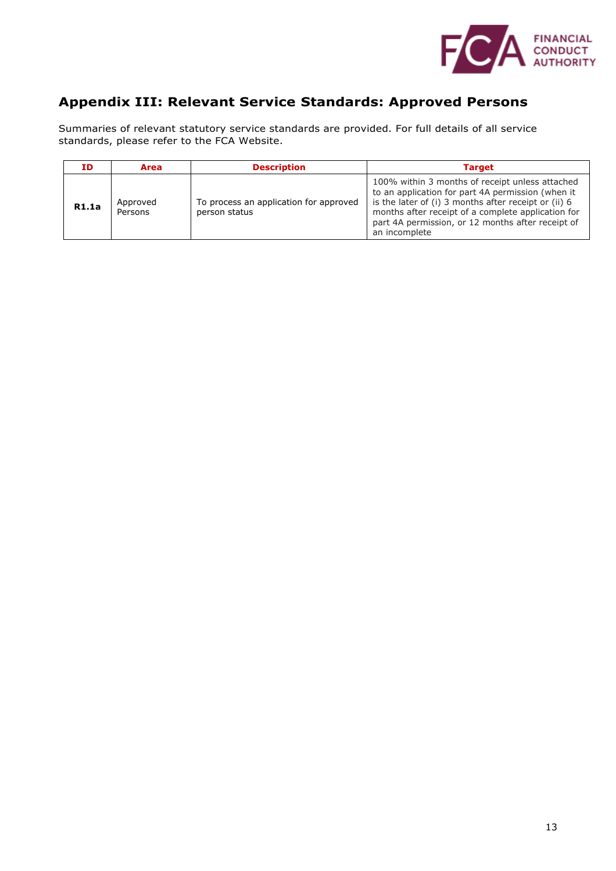

# **Appendix III: Relevant Service Standards: Approved Persons**

Summaries of relevant statutory service standards are provided. For full details of all service standards, please refer to the FCA Website.

| ID.          | Area                | <b>Description</b>                                      | Target                                                                                                                                                                                                                                                                                   |
|--------------|---------------------|---------------------------------------------------------|------------------------------------------------------------------------------------------------------------------------------------------------------------------------------------------------------------------------------------------------------------------------------------------|
| <b>R1.1a</b> | Approved<br>Persons | To process an application for approved<br>person status | 100% within 3 months of receipt unless attached<br>to an application for part 4A permission (when it<br>is the later of (i) 3 months after receipt or (ii) 6<br>months after receipt of a complete application for<br>part 4A permission, or 12 months after receipt of<br>an incomplete |